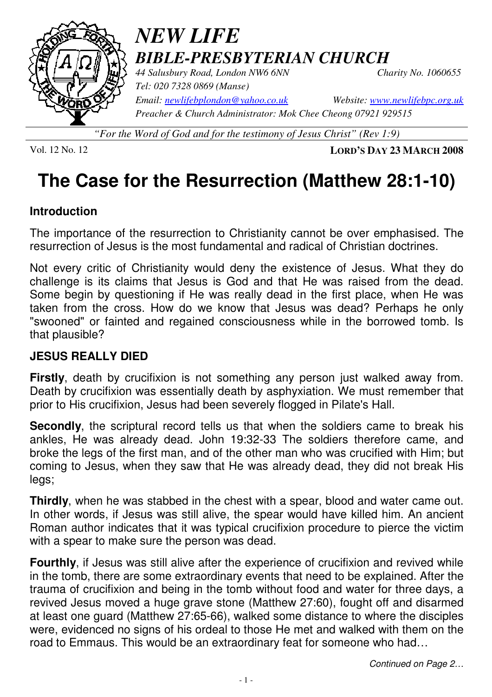

# *NEW LIFE BIBLE-PRESBYTERIAN CHURCH 44 Salusbury Road, London NW6 6NN Charity No. 1060655*

*Tel: 020 7328 0869 (Manse) Preacher & Church Administrator: Mok Chee Cheong 07921 929515* 

*Email: newlifebplondon@yahoo.co.uk Website: www.newlifebpc.org.uk*

*"For the Word of God and for the testimony of Jesus Christ" (Rev 1:9)*

Vol. 12 No. 12 **LORD'S DAY 23 MARCH 2008**

# **The Case for the Resurrection (Matthew 28:1-10)**

## **Introduction**

The importance of the resurrection to Christianity cannot be over emphasised. The resurrection of Jesus is the most fundamental and radical of Christian doctrines.

Not every critic of Christianity would deny the existence of Jesus. What they do challenge is its claims that Jesus is God and that He was raised from the dead. Some begin by questioning if He was really dead in the first place, when He was taken from the cross. How do we know that Jesus was dead? Perhaps he only "swooned" or fainted and regained consciousness while in the borrowed tomb. Is that plausible?

## **JESUS REALLY DIED**

**Firstly**, death by crucifixion is not something any person just walked away from. Death by crucifixion was essentially death by asphyxiation. We must remember that prior to His crucifixion, Jesus had been severely flogged in Pilate's Hall.

**Secondly**, the scriptural record tells us that when the soldiers came to break his ankles, He was already dead. John 19:32-33 The soldiers therefore came, and broke the legs of the first man, and of the other man who was crucified with Him; but coming to Jesus, when they saw that He was already dead, they did not break His legs;

**Thirdly**, when he was stabbed in the chest with a spear, blood and water came out. In other words, if Jesus was still alive, the spear would have killed him. An ancient Roman author indicates that it was typical crucifixion procedure to pierce the victim with a spear to make sure the person was dead.

**Fourthly**, if Jesus was still alive after the experience of crucifixion and revived while in the tomb, there are some extraordinary events that need to be explained. After the trauma of crucifixion and being in the tomb without food and water for three days, a revived Jesus moved a huge grave stone (Matthew 27:60), fought off and disarmed at least one guard (Matthew 27:65-66), walked some distance to where the disciples were, evidenced no signs of his ordeal to those He met and walked with them on the road to Emmaus. This would be an extraordinary feat for someone who had…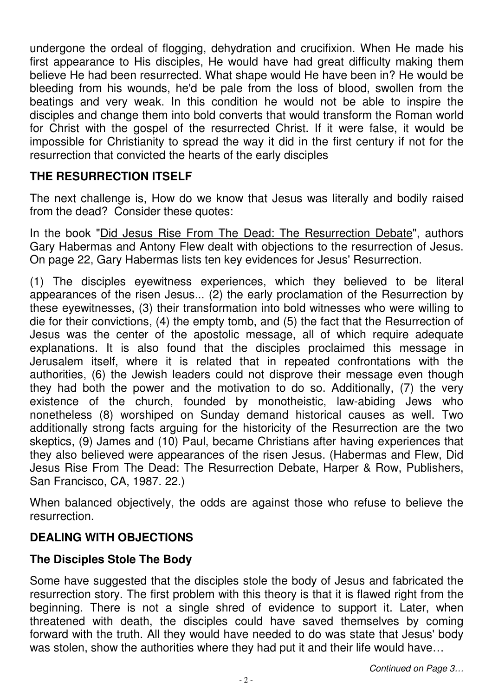undergone the ordeal of flogging, dehydration and crucifixion. When He made his first appearance to His disciples, He would have had great difficulty making them believe He had been resurrected. What shape would He have been in? He would be bleeding from his wounds, he'd be pale from the loss of blood, swollen from the beatings and very weak. In this condition he would not be able to inspire the disciples and change them into bold converts that would transform the Roman world for Christ with the gospel of the resurrected Christ. If it were false, it would be impossible for Christianity to spread the way it did in the first century if not for the resurrection that convicted the hearts of the early disciples

## **THE RESURRECTION ITSELF**

The next challenge is, How do we know that Jesus was literally and bodily raised from the dead? Consider these quotes:

In the book "Did Jesus Rise From The Dead: The Resurrection Debate", authors Gary Habermas and Antony Flew dealt with objections to the resurrection of Jesus. On page 22, Gary Habermas lists ten key evidences for Jesus' Resurrection.

(1) The disciples eyewitness experiences, which they believed to be literal appearances of the risen Jesus... (2) the early proclamation of the Resurrection by these eyewitnesses, (3) their transformation into bold witnesses who were willing to die for their convictions, (4) the empty tomb, and (5) the fact that the Resurrection of Jesus was the center of the apostolic message, all of which require adequate explanations. It is also found that the disciples proclaimed this message in Jerusalem itself, where it is related that in repeated confrontations with the authorities, (6) the Jewish leaders could not disprove their message even though they had both the power and the motivation to do so. Additionally, (7) the very existence of the church, founded by monotheistic, law-abiding Jews who nonetheless (8) worshiped on Sunday demand historical causes as well. Two additionally strong facts arguing for the historicity of the Resurrection are the two skeptics, (9) James and (10) Paul, became Christians after having experiences that they also believed were appearances of the risen Jesus. (Habermas and Flew, Did Jesus Rise From The Dead: The Resurrection Debate, Harper & Row, Publishers, San Francisco, CA, 1987. 22.)

When balanced objectively, the odds are against those who refuse to believe the resurrection.

## **DEALING WITH OBJECTIONS**

#### **The Disciples Stole The Body**

Some have suggested that the disciples stole the body of Jesus and fabricated the resurrection story. The first problem with this theory is that it is flawed right from the beginning. There is not a single shred of evidence to support it. Later, when threatened with death, the disciples could have saved themselves by coming forward with the truth. All they would have needed to do was state that Jesus' body was stolen, show the authorities where they had put it and their life would have...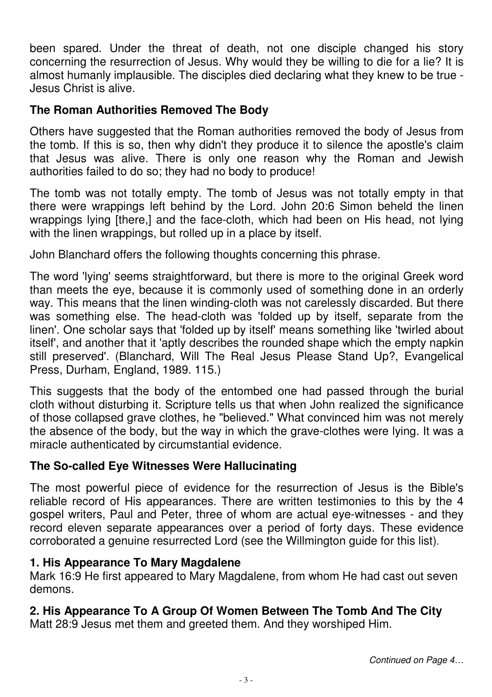been spared. Under the threat of death, not one disciple changed his story concerning the resurrection of Jesus. Why would they be willing to die for a lie? It is almost humanly implausible. The disciples died declaring what they knew to be true - Jesus Christ is alive.

## **The Roman Authorities Removed The Body**

Others have suggested that the Roman authorities removed the body of Jesus from the tomb. If this is so, then why didn't they produce it to silence the apostle's claim that Jesus was alive. There is only one reason why the Roman and Jewish authorities failed to do so; they had no body to produce!

The tomb was not totally empty. The tomb of Jesus was not totally empty in that there were wrappings left behind by the Lord. John 20:6 Simon beheld the linen wrappings lying [there,] and the face-cloth, which had been on His head, not lying with the linen wrappings, but rolled up in a place by itself.

John Blanchard offers the following thoughts concerning this phrase.

The word 'lying' seems straightforward, but there is more to the original Greek word than meets the eye, because it is commonly used of something done in an orderly way. This means that the linen winding-cloth was not carelessly discarded. But there was something else. The head-cloth was 'folded up by itself, separate from the linen'. One scholar says that 'folded up by itself' means something like 'twirled about itself', and another that it 'aptly describes the rounded shape which the empty napkin still preserved'. (Blanchard, Will The Real Jesus Please Stand Up?, Evangelical Press, Durham, England, 1989. 115.)

This suggests that the body of the entombed one had passed through the burial cloth without disturbing it. Scripture tells us that when John realized the significance of those collapsed grave clothes, he "believed." What convinced him was not merely the absence of the body, but the way in which the grave-clothes were lying. It was a miracle authenticated by circumstantial evidence.

## **The So-called Eye Witnesses Were Hallucinating**

The most powerful piece of evidence for the resurrection of Jesus is the Bible's reliable record of His appearances. There are written testimonies to this by the 4 gospel writers, Paul and Peter, three of whom are actual eye-witnesses - and they record eleven separate appearances over a period of forty days. These evidence corroborated a genuine resurrected Lord (see the Willmington guide for this list).

## **1. His Appearance To Mary Magdalene**

Mark 16:9 He first appeared to Mary Magdalene, from whom He had cast out seven demons.

## **2. His Appearance To A Group Of Women Between The Tomb And The City**

Matt 28:9 Jesus met them and greeted them. And they worshiped Him.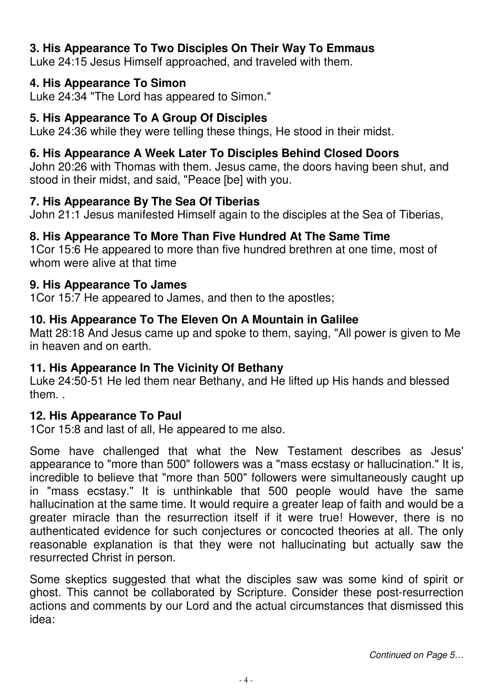## **3. His Appearance To Two Disciples On Their Way To Emmaus**

Luke 24:15 Jesus Himself approached, and traveled with them.

#### **4. His Appearance To Simon**

Luke 24:34 "The Lord has appeared to Simon."

## **5. His Appearance To A Group Of Disciples**

Luke 24:36 while they were telling these things, He stood in their midst.

## **6. His Appearance A Week Later To Disciples Behind Closed Doors**

John 20:26 with Thomas with them. Jesus came, the doors having been shut, and stood in their midst, and said, "Peace [be] with you.

#### **7. His Appearance By The Sea Of Tiberias**

John 21:1 Jesus manifested Himself again to the disciples at the Sea of Tiberias,

## **8. His Appearance To More Than Five Hundred At The Same Time**

1Cor 15:6 He appeared to more than five hundred brethren at one time, most of whom were alive at that time

#### **9. His Appearance To James**

1Cor 15:7 He appeared to James, and then to the apostles;

## **10. His Appearance To The Eleven On A Mountain in Galilee**

Matt 28:18 And Jesus came up and spoke to them, saying, "All power is given to Me in heaven and on earth.

## **11. His Appearance In The Vicinity Of Bethany**

Luke 24:50-51 He led them near Bethany, and He lifted up His hands and blessed them. .

## **12. His Appearance To Paul**

1Cor 15:8 and last of all, He appeared to me also.

Some have challenged that what the New Testament describes as Jesus' appearance to "more than 500" followers was a "mass ecstasy or hallucination." It is, incredible to believe that "more than 500" followers were simultaneously caught up in "mass ecstasy." It is unthinkable that 500 people would have the same hallucination at the same time. It would require a greater leap of faith and would be a greater miracle than the resurrection itself if it were true! However, there is no authenticated evidence for such conjectures or concocted theories at all. The only reasonable explanation is that they were not hallucinating but actually saw the resurrected Christ in person.

Some skeptics suggested that what the disciples saw was some kind of spirit or ghost. This cannot be collaborated by Scripture. Consider these post-resurrection actions and comments by our Lord and the actual circumstances that dismissed this idea: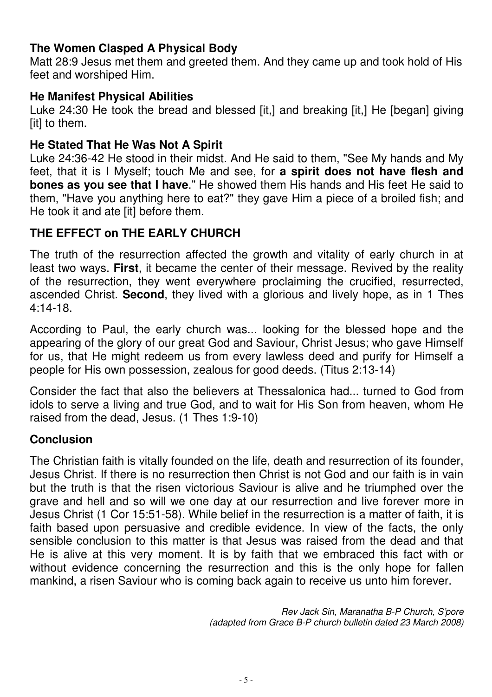#### **The Women Clasped A Physical Body**

Matt 28:9 Jesus met them and greeted them. And they came up and took hold of His feet and worshiped Him.

#### **He Manifest Physical Abilities**

Luke 24:30 He took the bread and blessed [it,] and breaking [it,] He [began] giving [it] to them.

#### **He Stated That He Was Not A Spirit**

Luke 24:36-42 He stood in their midst. And He said to them, "See My hands and My feet, that it is I Myself; touch Me and see, for **a spirit does not have flesh and bones as you see that I have**." He showed them His hands and His feet He said to them, "Have you anything here to eat?" they gave Him a piece of a broiled fish; and He took it and ate [it] before them.

## **THE EFFECT on THE EARLY CHURCH**

The truth of the resurrection affected the growth and vitality of early church in at least two ways. **First**, it became the center of their message. Revived by the reality of the resurrection, they went everywhere proclaiming the crucified, resurrected, ascended Christ. **Second**, they lived with a glorious and lively hope, as in 1 Thes 4:14-18.

According to Paul, the early church was... looking for the blessed hope and the appearing of the glory of our great God and Saviour, Christ Jesus; who gave Himself for us, that He might redeem us from every lawless deed and purify for Himself a people for His own possession, zealous for good deeds. (Titus 2:13-14)

Consider the fact that also the believers at Thessalonica had... turned to God from idols to serve a living and true God, and to wait for His Son from heaven, whom He raised from the dead, Jesus. (1 Thes 1:9-10)

#### **Conclusion**

The Christian faith is vitally founded on the life, death and resurrection of its founder, Jesus Christ. If there is no resurrection then Christ is not God and our faith is in vain but the truth is that the risen victorious Saviour is alive and he triumphed over the grave and hell and so will we one day at our resurrection and live forever more in Jesus Christ (1 Cor 15:51-58). While belief in the resurrection is a matter of faith, it is faith based upon persuasive and credible evidence. In view of the facts, the only sensible conclusion to this matter is that Jesus was raised from the dead and that He is alive at this very moment. It is by faith that we embraced this fact with or without evidence concerning the resurrection and this is the only hope for fallen mankind, a risen Saviour who is coming back again to receive us unto him forever.

> Rev Jack Sin, Maranatha B-P Church, S'pore (adapted from Grace B-P church bulletin dated 23 March 2008)